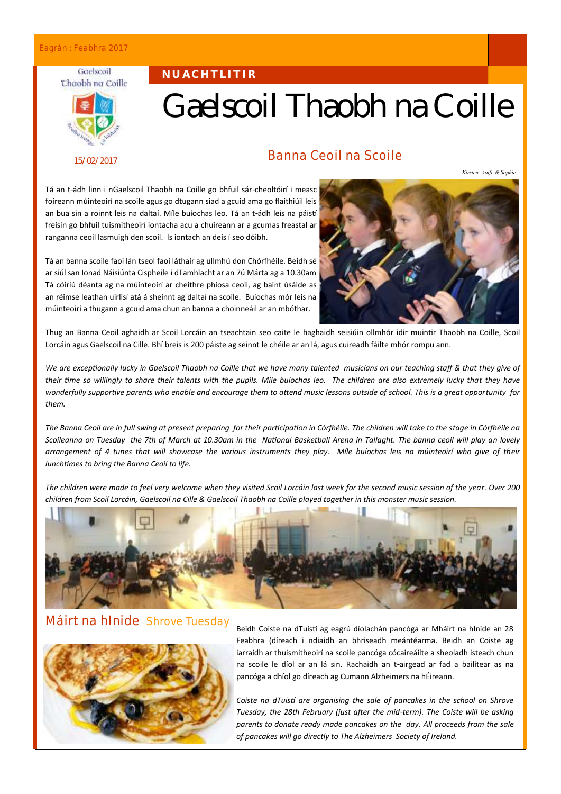#### Eagrán : Feabhra 2017

#### Gaelscoil Chaobh na Coille



15/02/2017

# Gaelscoil Thaobh na Coille

### Banna Ceoil na Scoile

*Kirsten, Aoife & Sophie*

Tá an t-ádh linn i nGaelscoil Thaobh na Coille go bhfuil sár-cheoltóirí i measc foireann múinteoirí na scoile agus go dtugann siad a gcuid ama go flaithiúil leis an bua sin a roinnt leis na daltaí. Míle buíochas leo. Tá an t-ádh leis na páistí freisin go bhfuil tuismitheoirí iontacha acu a chuireann ar a gcumas freastal ar ranganna ceoil lasmuigh den scoil. Is iontach an deis í seo dóibh.

**N U A C H T L I T I R**

Tá an banna scoile faoi lán tseol faoi láthair ag ullmhú don Chórfhéile. Beidh sé ar siúl san Ionad Náisiúnta Cispheile i dTamhlacht ar an 7ú Márta ag a 10.30am Tá cóiriú déanta ag na múinteoirí ar cheithre phíosa ceoil, ag baint úsáide as an réimse leathan uirlisí atá á sheinnt ag daltaí na scoile. Buíochas mór leis na múinteoirí a thugann a gcuid ama chun an banna a choinneáil ar an mbóthar.



Thug an Banna Ceoil aghaidh ar Scoil Lorcáin an tseachtain seo caite le haghaidh seisiúin ollmhór idir muintir Thaobh na Coille, Scoil Lorcáin agus Gaelscoil na Cille. Bhí breis is 200 páiste ag seinnt le chéile ar an lá, agus cuireadh fáilte mhór rompu ann.

*We are exceptionally lucky in Gaelscoil Thaobh na Coille that we have many talented musicians on our teaching staff & that they give of their time so willingly to share their talents with the pupils. Míle buíochas leo. The children are also extremely lucky that they have wonderfully supportive parents who enable and encourage them to attend music lessons outside of school. This is a great opportunity for them.*

*The Banna Ceoil are in full swing at present preparing for their participation in Córfhéile. The children will take to the stage in Córfhéile na Scoileanna on Tuesday the 7th of March at 10.30am in the National Basketball Arena in Tallaght. The banna ceoil will play an lovely arrangement of 4 tunes that will showcase the various instruments they play. Míle buíochas leis na múinteoirí who give of their lunchtimes to bring the Banna Ceoil to life.*

*The children were made to feel very welcome when they visited Scoil Lorcáin last week for the second music session of the year. Over 200 children from Scoil Lorcáin, Gaelscoil na Cille & Gaelscoil Thaobh na Coille played together in this monster music session.* 



#### Máirt na hInide Shrove Tuesday



Beidh Coiste na dTuistí ag eagrú díolachán pancóga ar Mháirt na hInide an 28 Feabhra (díreach i ndiaidh an bhriseadh meántéarma. Beidh an Coiste ag iarraidh ar thuismitheoirí na scoile pancóga cócaireáilte a sheoladh isteach chun na scoile le díol ar an lá sin. Rachaidh an t-airgead ar fad a bailítear as na pancóga a dhíol go díreach ag Cumann Alzheimers na hÉireann.

*Coiste na dTuistí are organising the sale of pancakes in the school on Shrove Tuesday, the 28th February (just after the mid-term). The Coiste will be asking parents to donate ready made pancakes on the day. All proceeds from the sale of pancakes will go directly to The Alzheimers Society of Ireland.*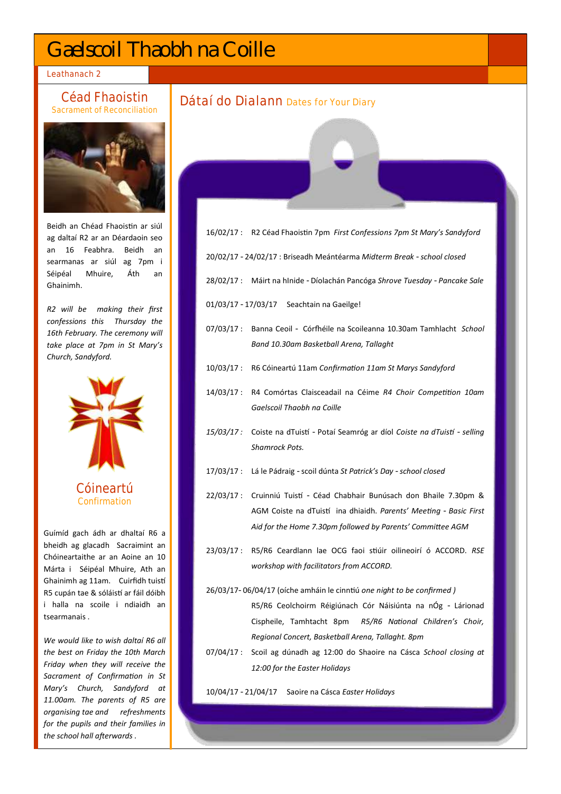## Gaelscoil Thaobh na Coille

Leathanach 2

#### Céad Fhaoistin Sacrament of Reconciliation



Beidh an Chéad Fhaoistin ar siúl ag daltaí R2 ar an Déardaoin seo an 16 Feabhra. Beidh an searmanas ar siúl ag 7pm i Séipéal Mhuire, Áth an Ghainimh.

*R2 will be making their first confessions this Thursday the 16th February. The ceremony will take place at 7pm in St Mary's Church, Sandyford.*



Guímíd gach ádh ar dhaltaí R6 a bheidh ag glacadh Sacraimint an Chóineartaithe ar an Aoine an 10 Márta i Séipéal Mhuire, Ath an Ghainimh ag 11am. Cuirfidh tuistí R5 cupán tae & sóláistí ar fáil dóibh i halla na scoile i ndiaidh an tsearmanais .

*We would like to wish daltaí R6 all the best on Friday the 10th March Friday when they will receive the Sacrament of Confirmation in St Mary's Church, Sandyford at 11.00am. The parents of R5 are organising tae and refreshments for the pupils and their families in the school hall afterwards .*

#### Dátaí do Dialann Dates for Your Diary

- 16/02/17 : R2 Céad Fhaoistin 7pm *First Confessions 7pm St Mary's Sandyford*
- 20/02/17 24/02/17 : Briseadh Meántéarma *Midterm Break - school closed*
- 28/02/17 : Máirt na hInide Díolachán Pancóga *Shrove Tuesday - Pancake Sale*
- 01/03/17 17/03/17 Seachtain na Gaeilge!
- 07/03/17 : Banna Ceoil Córfhéile na Scoileanna 10.30am Tamhlacht *School Band 10.30am Basketball Arena, Tallaght*
- 10/03/17 : R6 Cóineartú 11am *Confirmation 11am St Marys Sandyford*
- 14/03/17 : R4 Comórtas Claisceadail na Céime *R4 Choir Competition 10am Gaelscoil Thaobh na Coille*
- *15/03/17 :* Coiste na dTuistí *-* Potaí Seamróg ar díol *Coiste na dTuistí - selling Shamrock Pots.*
- 17/03/17 : Lá le Pádraig scoil dúnta *St Patrick's Day - school closed*
- 22/03/17 : Cruinniú Tuistí Céad Chabhair Bunúsach don Bhaile 7.30pm & AGM Coiste na dTuistí ina dhiaidh. *Parents' Meeting - Basic First Aid for the Home 7.30pm followed by Parents' Committee AGM*
- 23/03/17 : R5/R6 Ceardlann lae OCG faoi stiúir oilineoirí ó ACCORD. *RSE workshop with facilitators from ACCORD.*
- 26/03/17- 06/04/17 (oíche amháin le cinntiú *one night to be confirmed )* R5/R6 Ceolchoirm Réigiúnach Cór Náisiúnta na nÓg - Lárionad Cispheile, Tamhtacht 8pm *R5/R6 National Children's Choir, Regional Concert, Basketball Arena, Tallaght. 8pm*
- 07/04/17 : Scoil ag dúnadh ag 12:00 do Shaoire na Cásca *School closing at 12:00 for the Easter Holidays*

10/04/17 - 21/04/17 Saoire na Cásca *Easter Holidays*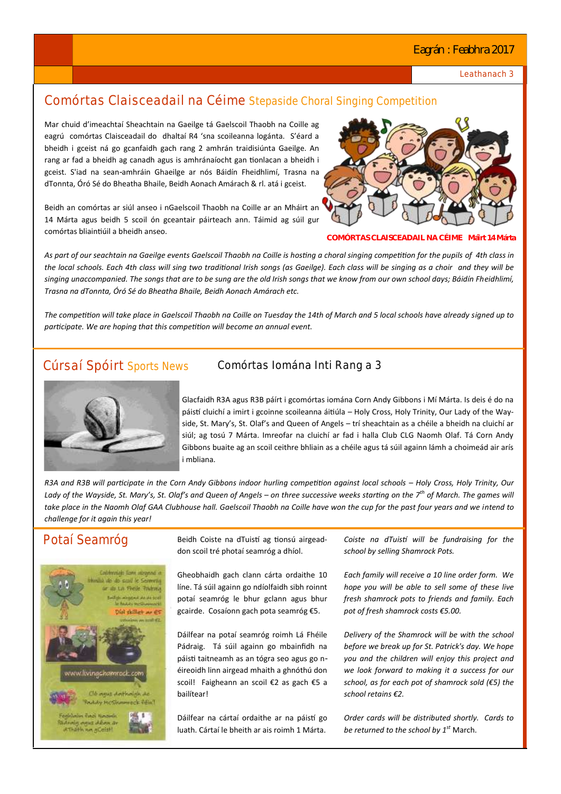#### Eagrán : Feabhra 2017

Leathanach 3

## Comórtas Claisceadail na Céime Stepaside Choral Singing Competition

Mar chuid d'imeachtaí Sheachtain na Gaeilge tá Gaelscoil Thaobh na Coille ag eagrú comórtas Claisceadail do dhaltaí R4 'sna scoileanna logánta. S'éard a bheidh i gceist ná go gcanfaidh gach rang 2 amhrán traidisiúnta Gaeilge. An rang ar fad a bheidh ag canadh agus is amhránaíocht gan tionlacan a bheidh i gceist. S'iad na sean-amhráin Ghaeilge ar nós Báidín Fheidhlimí, Trasna na dTonnta, Óró Sé do Bheatha Bhaile, Beidh Aonach Amárach & rl. atá i gceist.

Beidh an comórtas ar siúl anseo i nGaelscoil Thaobh na Coille ar an Mháirt an 14 Márta agus beidh 5 scoil ón gceantair páirteach ann. Táimid ag súil gur comórtas bliaintiúil a bheidh anseo.



**COMÓRTAS CLAISCEADAIL NA CÉIME Máirt 14 Márta**

*As part of our seachtain na Gaeilge events Gaelscoil Thaobh na Coille is hosting a choral singing competition for the pupils of 4th class in the local schools. Each 4th class will sing two traditional Irish songs (as Gaeilge). Each class will be singing as a choir and they will be singing unaccompanied. The songs that are to be sung are the old Irish songs that we know from our own school days; Báidín Fheidhlimí, Trasna na dTonnta, Óró Sé do Bheatha Bhaile, Beidh Aonach Amárach etc.* 

*The competition will take place in Gaelscoil Thaobh na Coille on Tuesday the 14th of March and 5 local schools have already signed up to participate. We are hoping that this competition will become an annual event.* 



#### Cúrsaí Spóirt Sports News Comórtas Iomána Inti Rang a 3

Glacfaidh R3A agus R3B páírt i gcomórtas iomána Corn Andy Gibbons i Mí Márta. Is deis é do na páistí cluichí a imirt i gcoinne scoileanna áitiúla – Holy Cross, Holy Trinity, Our Lady of the Wayside, St. Mary's, St. Olaf's and Queen of Angels – trí sheachtain as a chéile a bheidh na cluichí ar siúl; ag tosú 7 Márta. Imreofar na cluichí ar fad i halla Club CLG Naomh Olaf. Tá Corn Andy Gibbons buaite ag an scoil ceithre bhliain as a chéile agus tá súil againn lámh a choimeád air arís i mbliana.

*R3A and R3B will participate in the Corn Andy Gibbons indoor hurling competition against local schools – Holy Cross, Holy Trinity, Our Lady of the Wayside, St. Mary's, St. Olaf's and Queen of Angels – on three successive weeks starting on the 7th of March. The games will take place in the Naomh Olaf GAA Clubhouse hall. Gaelscoil Thaobh na Coille have won the cup for the past four years and we intend to challenge for it again this year!* 



Potaí Seamróg Beidh Coiste na dTuistí ag tionsú airgeaddon scoil tré photaí seamróg a dhíol.

> Gheobhaidh gach clann cárta ordaithe 10 líne. Tá súil againn go ndíolfaidh sibh roinnt potaí seamróg le bhur gclann agus bhur gcairde. Cosaíonn gach pota seamróg €5.

> Dáilfear na potaí seamróg roimh Lá Fhéile Pádraig. Tá súil againn go mbainfidh na páisti taitneamh as an tógra seo agus go néireoidh linn airgead mhaith a ghnóthú don scoil! Faigheann an scoil €2 as gach €5 a bailítear!

> Dáilfear na cártaí ordaithe ar na páistí go luath. Cártaí le bheith ar ais roimh 1 Márta.

*Coiste na dTuistí will be fundraising for the school by selling Shamrock Pots.*

*Each family will receive a 10 line order form. We hope you will be able to sell some of these live fresh shamrock pots to friends and family. Each pot of fresh shamrock costs €5.00.* 

*Delivery of the Shamrock will be with the school before we break up for St. Patrick's day. We hope you and the children will enjoy this project and we look forward to making it a success for our school, as for each pot of shamrock sold (€5) the school retains €2.*

*Order cards will be distributed shortly. Cards to be returned to the school by 1st* March.